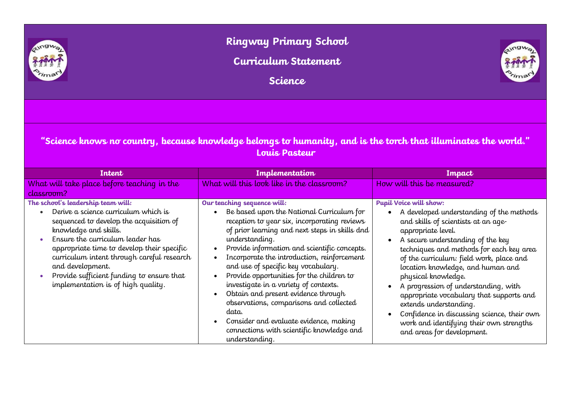

## **Ringway Primary School**

**Curriculum Statement**

**Science**



## **"Science knows no country, because knowledge belongs to humanity, and is the torch that illuminates the world." Louis Pasteur**

| Intent                                                                                                                                                                                                                                                                                                                                                                                             | Implementation                                                                                                                                                                                                                                                                                                                                                                                                                                                                                                                                                                                                                            | Impact                                                                                                                                                                                                                                                                                                                                                                                                                                                                                                                                                          |
|----------------------------------------------------------------------------------------------------------------------------------------------------------------------------------------------------------------------------------------------------------------------------------------------------------------------------------------------------------------------------------------------------|-------------------------------------------------------------------------------------------------------------------------------------------------------------------------------------------------------------------------------------------------------------------------------------------------------------------------------------------------------------------------------------------------------------------------------------------------------------------------------------------------------------------------------------------------------------------------------------------------------------------------------------------|-----------------------------------------------------------------------------------------------------------------------------------------------------------------------------------------------------------------------------------------------------------------------------------------------------------------------------------------------------------------------------------------------------------------------------------------------------------------------------------------------------------------------------------------------------------------|
| What will take place before teaching in the<br>classroom?                                                                                                                                                                                                                                                                                                                                          | What will this look like in the classroom?                                                                                                                                                                                                                                                                                                                                                                                                                                                                                                                                                                                                | How will this be measured?                                                                                                                                                                                                                                                                                                                                                                                                                                                                                                                                      |
| The school's leadership team will:<br>Derive a science curriculum which is<br>sequenced to develop the acquisition of<br>knowledge and skills.<br>Ensure the curriculum leader has<br>$\bullet$<br>appropriate time to develop their specific<br>curriculum intent through careful research<br>and development.<br>Provide sufficient funding to ensure that<br>implementation is of high quality. | Our teaching sequence will:<br>Be based upon the National Curriculum for<br>reception to year six, incorporating reviews<br>of prior learning and next steps in skills dnd<br>understanding.<br>Provide information and scientific concepts.<br>$\bullet$<br>Incorporate the introduction, reinforcement<br>and use of specific key vocabulary.<br>Provide opportunities for the children to<br>investigate in a variety of contexts.<br>Obtain and present evidence through<br>observations, comparisons and collected<br>data.<br>Consider and evaluate evidence, making<br>connections with scientific knowledge and<br>understanding. | Pupil Voice will show:<br>A developed understanding of the methods<br>and skills of scientists at an age-<br>appropriate level.<br>A secure understanding of the key<br>techniques and methods for each key area<br>of the curriculum: field work, place and<br>location knowledge, and human and<br>physical knowledge.<br>A progression of understanding, with<br>appropriate vocabulary that supports and<br>extends understanding.<br>Confidence in discussing science, their own<br>work and identifying their own strengths<br>and areas for development. |